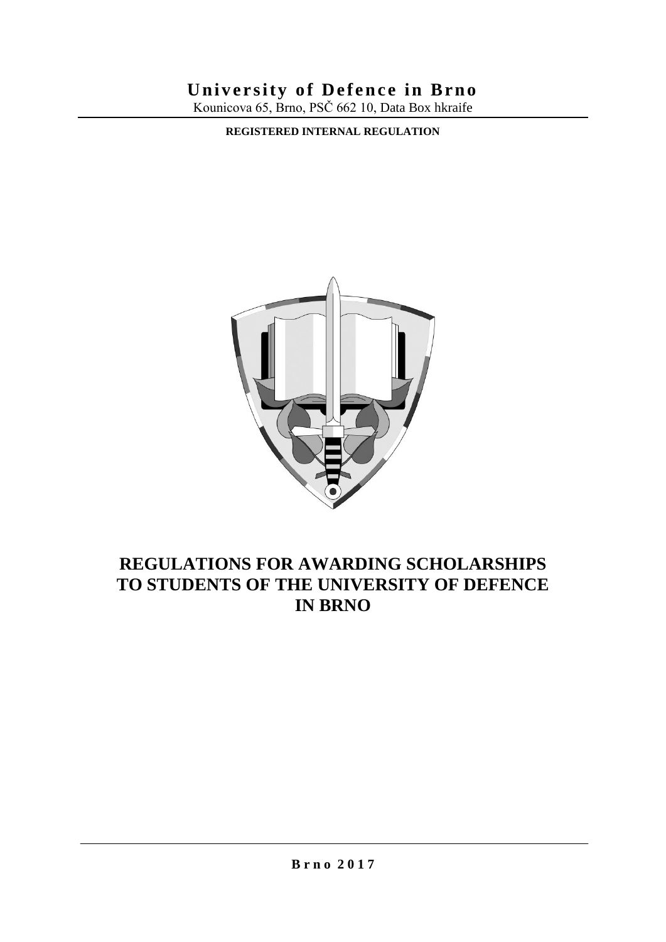# **University of Defence in Brno**

Kounicova 65, Brno, PSČ 662 10, Data Box hkraife

**REGISTERED INTERNAL REGULATION**



# **REGULATIONS FOR AWARDING SCHOLARSHIPS TO STUDENTS OF THE UNIVERSITY OF DEFENCE IN BRNO**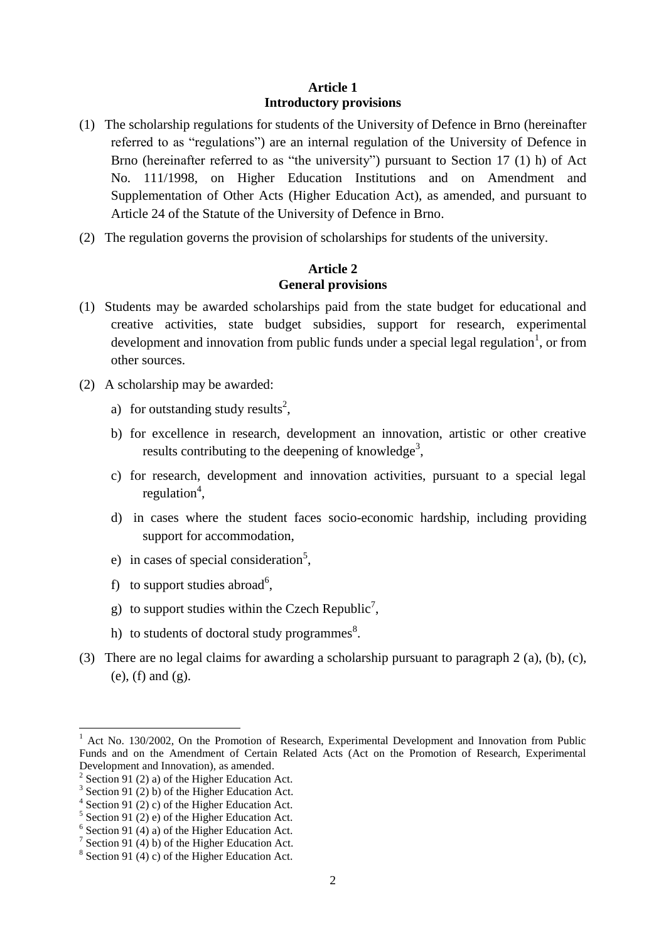#### **Article 1 Introductory provisions**

- (1) The scholarship regulations for students of the University of Defence in Brno (hereinafter referred to as "regulations") are an internal regulation of the University of Defence in Brno (hereinafter referred to as "the university") pursuant to Section 17 (1) h) of Act No. 111/1998, on Higher Education Institutions and on Amendment and Supplementation of Other Acts (Higher Education Act), as amended, and pursuant to Article 24 of the Statute of the University of Defence in Brno.
- (2) The regulation governs the provision of scholarships for students of the university.

#### **Article 2 General provisions**

- (1) Students may be awarded scholarships paid from the state budget for educational and creative activities, state budget subsidies, support for research, experimental development and innovation from public funds under a special legal regulation<sup>1</sup>, or from other sources.
- (2) A scholarship may be awarded:
	- a) for outstanding study results<sup>2</sup>,
	- b) for excellence in research, development an innovation, artistic or other creative results contributing to the deepening of knowledge<sup>3</sup>,
	- c) for research, development and innovation activities, pursuant to a special legal regulation<sup>4</sup>,
	- d) in cases where the student faces socio-economic hardship, including providing support for accommodation,
	- e) in cases of special consideration<sup>5</sup>,
	- f) to support studies abroad<sup>6</sup>,
	- g) to support studies within the Czech Republic<sup>7</sup>,
	- h) to students of doctoral study programmes $^{8}$ .
- (3) There are no legal claims for awarding a scholarship pursuant to paragraph 2 (a), (b), (c), (e), (f) and (g).

 $\overline{\phantom{a}}$ <sup>1</sup> Act No. 130/2002, On the Promotion of Research, Experimental Development and Innovation from Public Funds and on the Amendment of Certain Related Acts (Act on the Promotion of Research, Experimental Development and Innovation), as amended.

 $2^2$  Section 91 (2) a) of the Higher Education Act.

 $3$  Section 91 (2) b) of the Higher Education Act.

 $4$  Section 91 (2) c) of the Higher Education Act.

 $5$  Section 91 (2) e) of the Higher Education Act.

 $6$  Section 91 (4) a) of the Higher Education Act.

<sup>&</sup>lt;sup>7</sup> Section 91 (4) b) of the Higher Education Act.

 $8$  Section 91 (4) c) of the Higher Education Act.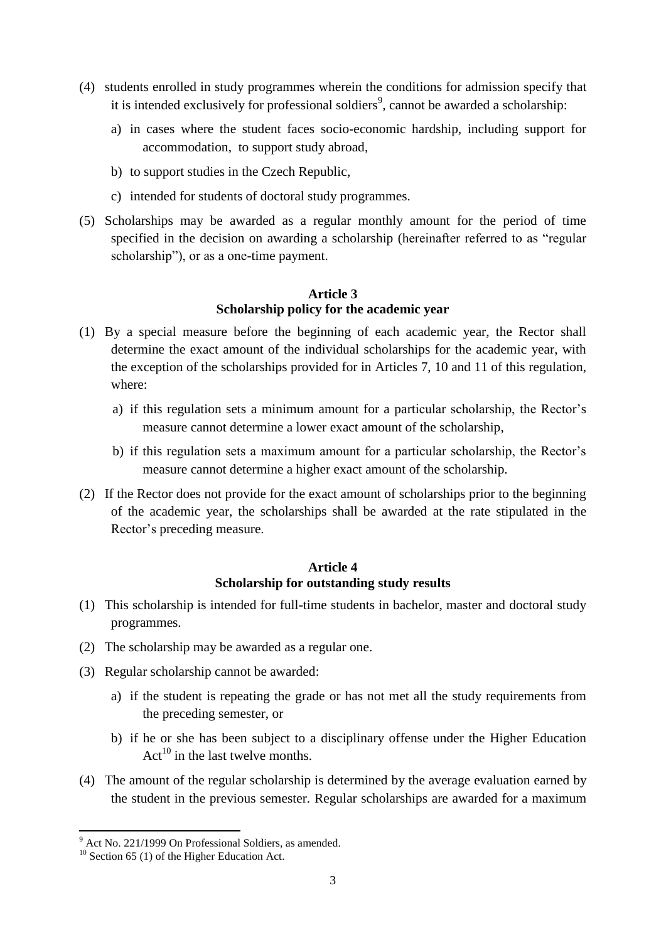- (4) students enrolled in study programmes wherein the conditions for admission specify that it is intended exclusively for professional soldiers<sup>9</sup>, cannot be awarded a scholarship:
	- a) in cases where the student faces socio-economic hardship, including support for accommodation, to support study abroad,
	- b) to support studies in the Czech Republic,
	- c) intended for students of doctoral study programmes.
- (5) Scholarships may be awarded as a regular monthly amount for the period of time specified in the decision on awarding a scholarship (hereinafter referred to as "regular scholarship"), or as a one-time payment.

# **Article 3 Scholarship policy for the academic year**

- (1) By a special measure before the beginning of each academic year, the Rector shall determine the exact amount of the individual scholarships for the academic year, with the exception of the scholarships provided for in Articles 7, 10 and 11 of this regulation, where:
	- a) if this regulation sets a minimum amount for a particular scholarship, the Rector's measure cannot determine a lower exact amount of the scholarship,
	- b) if this regulation sets a maximum amount for a particular scholarship, the Rector's measure cannot determine a higher exact amount of the scholarship.
- (2) If the Rector does not provide for the exact amount of scholarships prior to the beginning of the academic year, the scholarships shall be awarded at the rate stipulated in the Rector's preceding measure.

#### **Article 4 Scholarship for outstanding study results**

- (1) This scholarship is intended for full-time students in bachelor, master and doctoral study programmes.
- (2) The scholarship may be awarded as a regular one.
- (3) Regular scholarship cannot be awarded:
	- a) if the student is repeating the grade or has not met all the study requirements from the preceding semester, or
	- b) if he or she has been subject to a disciplinary offense under the Higher Education  $Act^{10}$  in the last twelve months.
- (4) The amount of the regular scholarship is determined by the average evaluation earned by the student in the previous semester. Regular scholarships are awarded for a maximum

 $9$  Act No. 221/1999 On Professional Soldiers, as amended.

 $10$  Section 65 (1) of the Higher Education Act.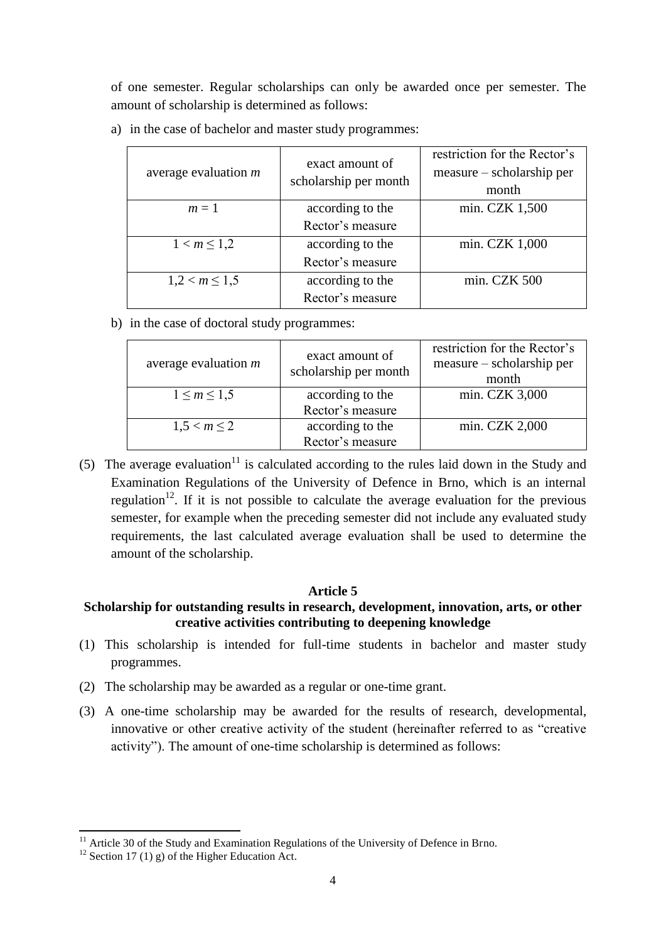of one semester. Regular scholarships can only be awarded once per semester. The amount of scholarship is determined as follows:

| average evaluation $m$ | exact amount of<br>scholarship per month | restriction for the Rector's<br>measure – scholarship per<br>month |
|------------------------|------------------------------------------|--------------------------------------------------------------------|
| $m=1$                  | according to the                         | min. CZK 1,500                                                     |
|                        | Rector's measure                         |                                                                    |
| $1 < m \leq 1,2$       | according to the                         | min. CZK 1,000                                                     |
|                        | Rector's measure                         |                                                                    |
| $1,2 < m \leq 1,5$     | according to the                         | min. CZK 500                                                       |
|                        | Rector's measure                         |                                                                    |

a) in the case of bachelor and master study programmes:

b) in the case of doctoral study programmes:

| average evaluation $m$ | exact amount of<br>scholarship per month | restriction for the Rector's<br>measure – scholarship per<br>month |
|------------------------|------------------------------------------|--------------------------------------------------------------------|
| $1 \le m \le 1.5$      | according to the                         | min. CZK 3,000                                                     |
|                        | Rector's measure                         |                                                                    |
| $1,5 < m \leq 2$       | according to the                         | min. CZK 2,000                                                     |
|                        | Rector's measure                         |                                                                    |

(5) The average evaluation<sup>11</sup> is calculated according to the rules laid down in the Study and Examination Regulations of the University of Defence in Brno, which is an internal regulation<sup>12</sup>. If it is not possible to calculate the average evaluation for the previous semester, for example when the preceding semester did not include any evaluated study requirements, the last calculated average evaluation shall be used to determine the amount of the scholarship.

# **Article 5**

# **Scholarship for outstanding results in research, development, innovation, arts, or other creative activities contributing to deepening knowledge**

- (1) This scholarship is intended for full-time students in bachelor and master study programmes.
- (2) The scholarship may be awarded as a regular or one-time grant.
- (3) A one-time scholarship may be awarded for the results of research, developmental, innovative or other creative activity of the student (hereinafter referred to as "creative activity"). The amount of one-time scholarship is determined as follows:

 $11$  Article 30 of the Study and Examination Regulations of the University of Defence in Brno.

<sup>&</sup>lt;sup>12</sup> Section 17 (1) g) of the Higher Education Act.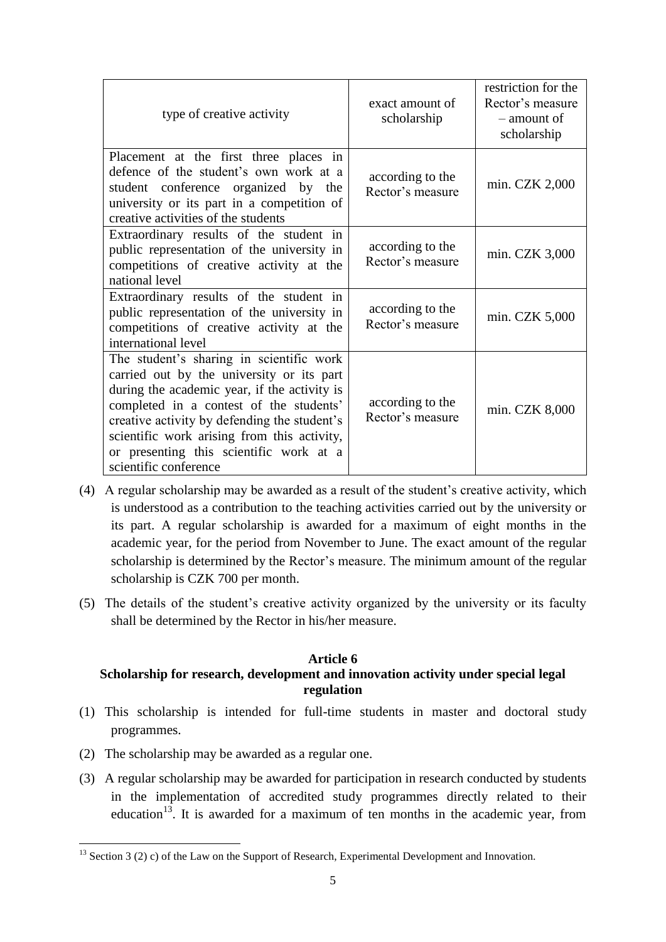| type of creative activity                                                                                                                                                                                                                                                                                                                           | exact amount of<br>scholarship       | restriction for the<br>Rector's measure<br>- amount of<br>scholarship |
|-----------------------------------------------------------------------------------------------------------------------------------------------------------------------------------------------------------------------------------------------------------------------------------------------------------------------------------------------------|--------------------------------------|-----------------------------------------------------------------------|
| Placement at the first three places in<br>defence of the student's own work at a<br>student conference organized by the<br>university or its part in a competition of<br>creative activities of the students                                                                                                                                        | according to the<br>Rector's measure | min. CZK 2,000                                                        |
| Extraordinary results of the student in<br>public representation of the university in<br>competitions of creative activity at the<br>national level                                                                                                                                                                                                 | according to the<br>Rector's measure | min. CZK 3,000                                                        |
| Extraordinary results of the student in<br>public representation of the university in<br>competitions of creative activity at the<br>international level                                                                                                                                                                                            | according to the<br>Rector's measure | min. CZK 5,000                                                        |
| The student's sharing in scientific work<br>carried out by the university or its part<br>during the academic year, if the activity is<br>completed in a contest of the students'<br>creative activity by defending the student's<br>scientific work arising from this activity,<br>or presenting this scientific work at a<br>scientific conference | according to the<br>Rector's measure | min. CZK 8,000                                                        |

- (4) A regular scholarship may be awarded as a result of the student's creative activity, which is understood as a contribution to the teaching activities carried out by the university or its part. A regular scholarship is awarded for a maximum of eight months in the academic year, for the period from November to June. The exact amount of the regular scholarship is determined by the Rector's measure. The minimum amount of the regular scholarship is CZK 700 per month.
- (5) The details of the student's creative activity organized by the university or its faculty shall be determined by the Rector in his/her measure.

#### **Article 6**

# **Scholarship for research, development and innovation activity under special legal regulation**

- (1) This scholarship is intended for full-time students in master and doctoral study programmes.
- (2) The scholarship may be awarded as a regular one.

l

(3) A regular scholarship may be awarded for participation in research conducted by students in the implementation of accredited study programmes directly related to their education<sup>13</sup>. It is awarded for a maximum of ten months in the academic year, from

 $13$  Section 3 (2) c) of the Law on the Support of Research, Experimental Development and Innovation.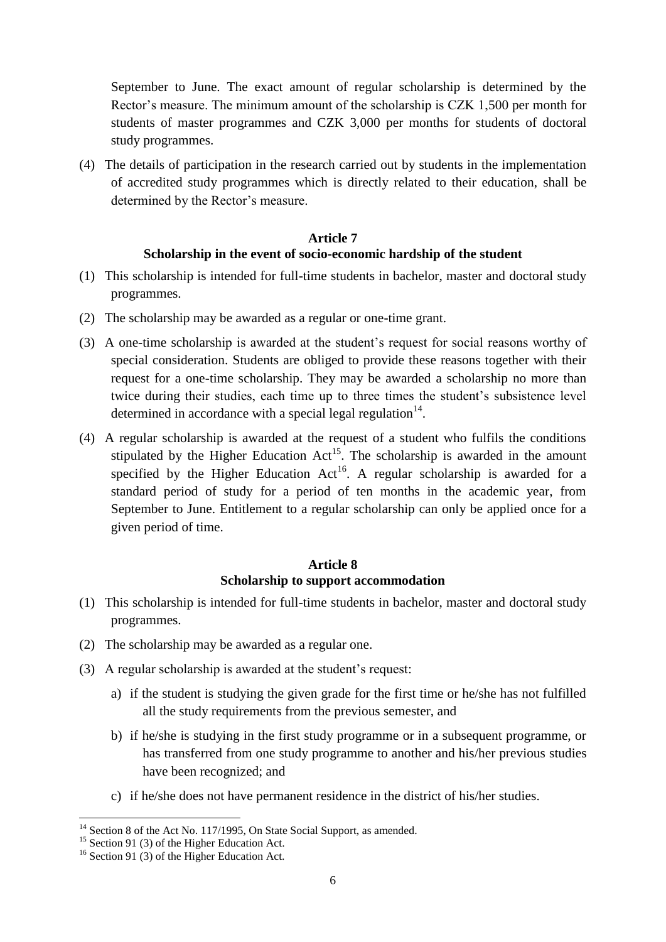September to June. The exact amount of regular scholarship is determined by the Rector's measure. The minimum amount of the scholarship is CZK 1,500 per month for students of master programmes and CZK 3,000 per months for students of doctoral study programmes.

(4) The details of participation in the research carried out by students in the implementation of accredited study programmes which is directly related to their education, shall be determined by the Rector's measure.

# **Article 7 Scholarship in the event of socio-economic hardship of the student**

- (1) This scholarship is intended for full-time students in bachelor, master and doctoral study programmes.
- (2) The scholarship may be awarded as a regular or one-time grant.
- (3) A one-time scholarship is awarded at the student's request for social reasons worthy of special consideration. Students are obliged to provide these reasons together with their request for a one-time scholarship. They may be awarded a scholarship no more than twice during their studies, each time up to three times the student's subsistence level determined in accordance with a special legal regulation $14$ .
- (4) A regular scholarship is awarded at the request of a student who fulfils the conditions stipulated by the Higher Education  $Act^{15}$ . The scholarship is awarded in the amount specified by the Higher Education Act<sup>16</sup>. A regular scholarship is awarded for a standard period of study for a period of ten months in the academic year, from September to June. Entitlement to a regular scholarship can only be applied once for a given period of time.

# **Article 8 Scholarship to support accommodation**

- (1) This scholarship is intended for full-time students in bachelor, master and doctoral study programmes.
- (2) The scholarship may be awarded as a regular one.
- (3) A regular scholarship is awarded at the student's request:
	- a) if the student is studying the given grade for the first time or he/she has not fulfilled all the study requirements from the previous semester, and
	- b) if he/she is studying in the first study programme or in a subsequent programme, or has transferred from one study programme to another and his/her previous studies have been recognized; and
	- c) if he/she does not have permanent residence in the district of his/her studies.

 $\overline{a}$ 

<sup>&</sup>lt;sup>14</sup> Section 8 of the Act No. 117/1995, On State Social Support, as amended.

<sup>&</sup>lt;sup>15</sup> Section 91 (3) of the Higher Education Act.

<sup>&</sup>lt;sup>16</sup> Section 91 (3) of the Higher Education Act.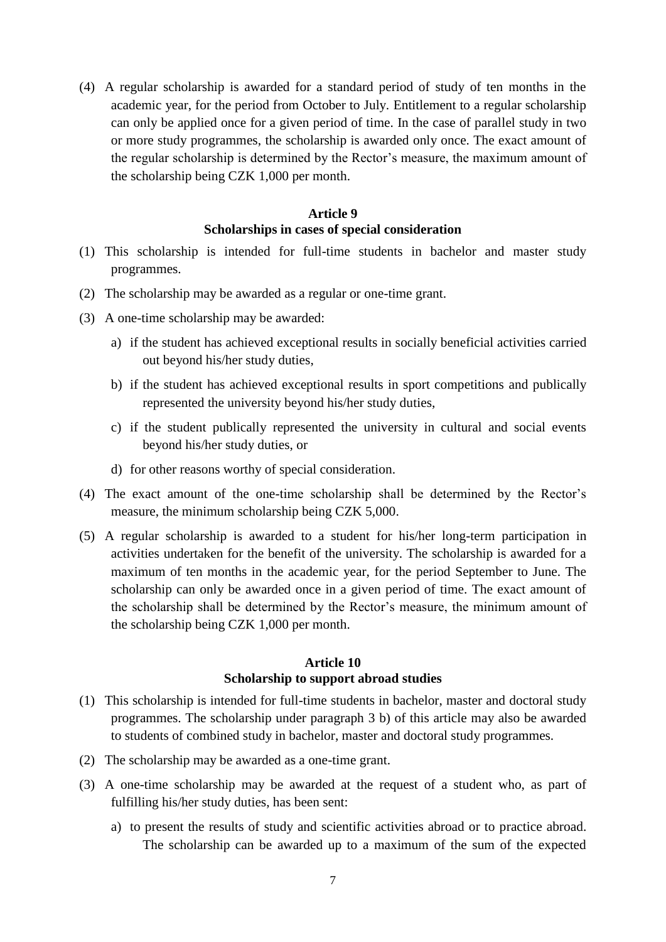(4) A regular scholarship is awarded for a standard period of study of ten months in the academic year, for the period from October to July. Entitlement to a regular scholarship can only be applied once for a given period of time. In the case of parallel study in two or more study programmes, the scholarship is awarded only once. The exact amount of the regular scholarship is determined by the Rector's measure, the maximum amount of the scholarship being CZK 1,000 per month.

# **Article 9 Scholarships in cases of special consideration**

- (1) This scholarship is intended for full-time students in bachelor and master study programmes.
- (2) The scholarship may be awarded as a regular or one-time grant.
- (3) A one-time scholarship may be awarded:
	- a) if the student has achieved exceptional results in socially beneficial activities carried out beyond his/her study duties,
	- b) if the student has achieved exceptional results in sport competitions and publically represented the university beyond his/her study duties,
	- c) if the student publically represented the university in cultural and social events beyond his/her study duties, or
	- d) for other reasons worthy of special consideration.
- (4) The exact amount of the one-time scholarship shall be determined by the Rector's measure, the minimum scholarship being CZK 5,000.
- (5) A regular scholarship is awarded to a student for his/her long-term participation in activities undertaken for the benefit of the university. The scholarship is awarded for a maximum of ten months in the academic year, for the period September to June. The scholarship can only be awarded once in a given period of time. The exact amount of the scholarship shall be determined by the Rector's measure, the minimum amount of the scholarship being CZK 1,000 per month.

#### **Article 10 Scholarship to support abroad studies**

- (1) This scholarship is intended for full-time students in bachelor, master and doctoral study programmes. The scholarship under paragraph 3 b) of this article may also be awarded to students of combined study in bachelor, master and doctoral study programmes.
- (2) The scholarship may be awarded as a one-time grant.
- (3) A one-time scholarship may be awarded at the request of a student who, as part of fulfilling his/her study duties, has been sent:
	- a) to present the results of study and scientific activities abroad or to practice abroad. The scholarship can be awarded up to a maximum of the sum of the expected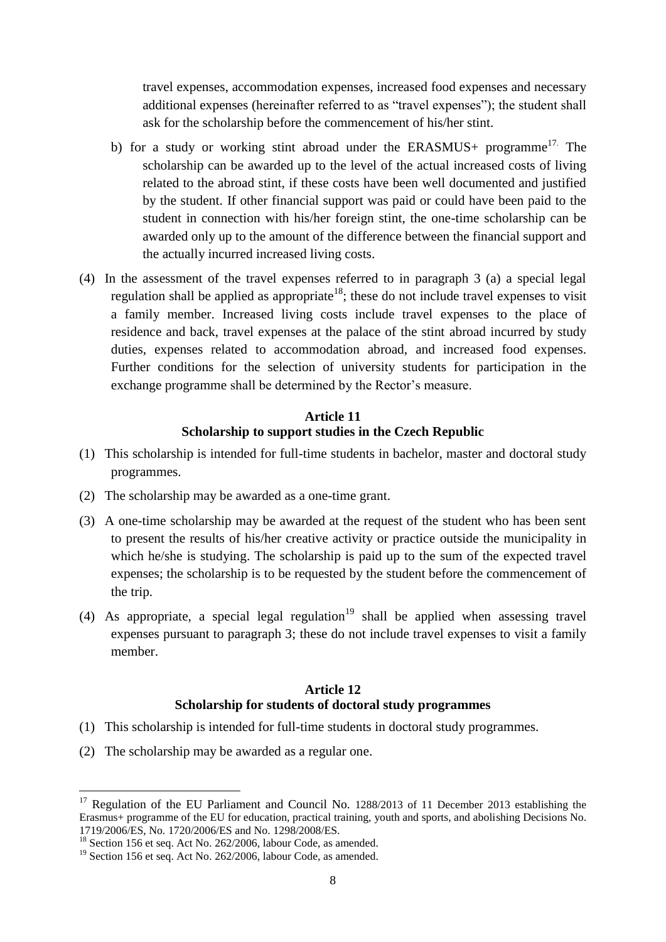travel expenses, accommodation expenses, increased food expenses and necessary additional expenses (hereinafter referred to as "travel expenses"); the student shall ask for the scholarship before the commencement of his/her stint.

- b) for a study or working stint abroad under the ERASMUS+ programme<sup>17</sup>. The scholarship can be awarded up to the level of the actual increased costs of living related to the abroad stint, if these costs have been well documented and justified by the student. If other financial support was paid or could have been paid to the student in connection with his/her foreign stint, the one-time scholarship can be awarded only up to the amount of the difference between the financial support and the actually incurred increased living costs.
- (4) In the assessment of the travel expenses referred to in paragraph 3 (a) a special legal regulation shall be applied as appropriate<sup>18</sup>; these do not include travel expenses to visit a family member. Increased living costs include travel expenses to the place of residence and back, travel expenses at the palace of the stint abroad incurred by study duties, expenses related to accommodation abroad, and increased food expenses. Further conditions for the selection of university students for participation in the exchange programme shall be determined by the Rector's measure.

# **Article 11 Scholarship to support studies in the Czech Republic**

- (1) This scholarship is intended for full-time students in bachelor, master and doctoral study programmes.
- (2) The scholarship may be awarded as a one-time grant.
- (3) A one-time scholarship may be awarded at the request of the student who has been sent to present the results of his/her creative activity or practice outside the municipality in which he/she is studying. The scholarship is paid up to the sum of the expected travel expenses; the scholarship is to be requested by the student before the commencement of the trip.
- (4) As appropriate, a special legal regulation<sup>19</sup> shall be applied when assessing travel expenses pursuant to paragraph 3; these do not include travel expenses to visit a family member.

# **Article 12 Scholarship for students of doctoral study programmes**

- (1) This scholarship is intended for full-time students in doctoral study programmes.
- (2) The scholarship may be awarded as a regular one.

<sup>&</sup>lt;sup>17</sup> Regulation of the EU Parliament and Council No. 1288/2013 of 11 December 2013 establishing the Erasmus+ programme of the EU for education, practical training, youth and sports, and abolishing Decisions No. 1719/2006/ES, No. 1720/2006/ES and No. 1298/2008/ES.

<sup>&</sup>lt;sup>18</sup> Section 156 et seq. Act No. 262/2006, labour Code, as amended.

 $19$  Section 156 et seq. Act No. 262/2006, labour Code, as amended.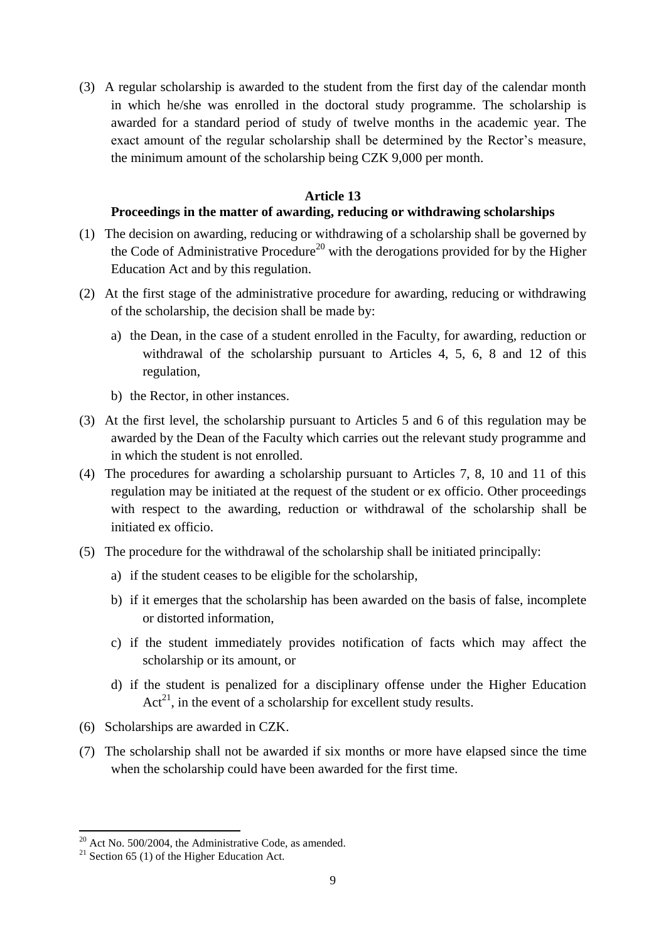(3) A regular scholarship is awarded to the student from the first day of the calendar month in which he/she was enrolled in the doctoral study programme. The scholarship is awarded for a standard period of study of twelve months in the academic year. The exact amount of the regular scholarship shall be determined by the Rector's measure, the minimum amount of the scholarship being CZK 9,000 per month.

#### **Article 13**

#### **Proceedings in the matter of awarding, reducing or withdrawing scholarships**

- (1) The decision on awarding, reducing or withdrawing of a scholarship shall be governed by the Code of Administrative Procedure<sup>20</sup> with the derogations provided for by the Higher Education Act and by this regulation.
- (2) At the first stage of the administrative procedure for awarding, reducing or withdrawing of the scholarship, the decision shall be made by:
	- a) the Dean, in the case of a student enrolled in the Faculty, for awarding, reduction or withdrawal of the scholarship pursuant to Articles 4, 5, 6, 8 and 12 of this regulation,
	- b) the Rector, in other instances.
- (3) At the first level, the scholarship pursuant to Articles 5 and 6 of this regulation may be awarded by the Dean of the Faculty which carries out the relevant study programme and in which the student is not enrolled.
- (4) The procedures for awarding a scholarship pursuant to Articles 7, 8, 10 and 11 of this regulation may be initiated at the request of the student or ex officio. Other proceedings with respect to the awarding, reduction or withdrawal of the scholarship shall be initiated ex officio.
- (5) The procedure for the withdrawal of the scholarship shall be initiated principally:
	- a) if the student ceases to be eligible for the scholarship,
	- b) if it emerges that the scholarship has been awarded on the basis of false, incomplete or distorted information,
	- c) if the student immediately provides notification of facts which may affect the scholarship or its amount, or
	- d) if the student is penalized for a disciplinary offense under the Higher Education  $Act^{21}$ , in the event of a scholarship for excellent study results.
- (6) Scholarships are awarded in CZK.
- (7) The scholarship shall not be awarded if six months or more have elapsed since the time when the scholarship could have been awarded for the first time.

 $20$  Act No. 500/2004, the Administrative Code, as amended.

<sup>&</sup>lt;sup>21</sup> Section 65 (1) of the Higher Education Act.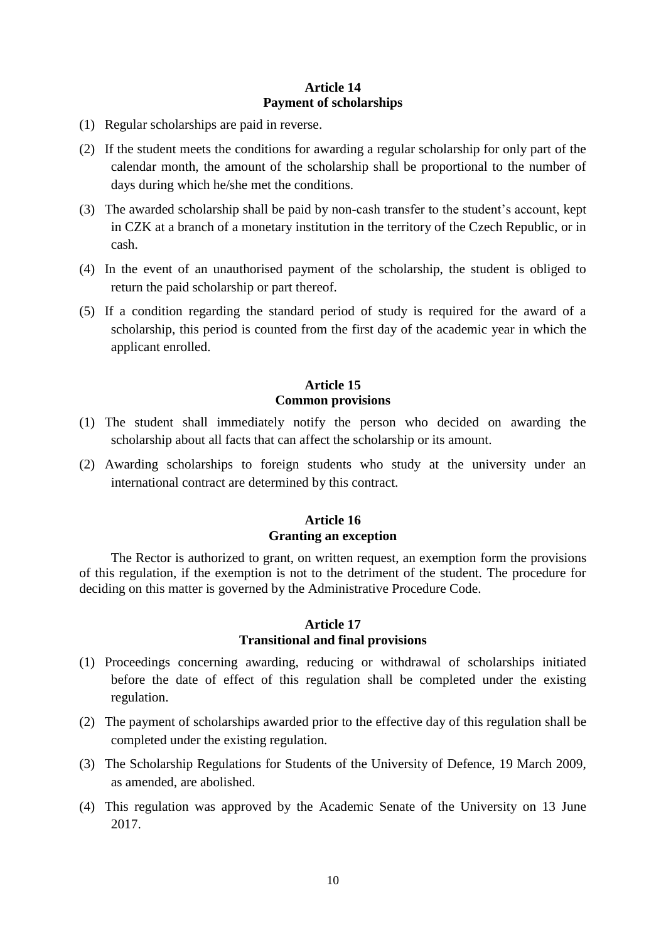#### **Article 14 Payment of scholarships**

- (1) Regular scholarships are paid in reverse.
- (2) If the student meets the conditions for awarding a regular scholarship for only part of the calendar month, the amount of the scholarship shall be proportional to the number of days during which he/she met the conditions.
- (3) The awarded scholarship shall be paid by non-cash transfer to the student's account, kept in CZK at a branch of a monetary institution in the territory of the Czech Republic, or in cash.
- (4) In the event of an unauthorised payment of the scholarship, the student is obliged to return the paid scholarship or part thereof.
- (5) If a condition regarding the standard period of study is required for the award of a scholarship, this period is counted from the first day of the academic year in which the applicant enrolled.

#### **Article 15 Common provisions**

- (1) The student shall immediately notify the person who decided on awarding the scholarship about all facts that can affect the scholarship or its amount.
- (2) Awarding scholarships to foreign students who study at the university under an international contract are determined by this contract.

#### **Article 16 Granting an exception**

The Rector is authorized to grant, on written request, an exemption form the provisions of this regulation, if the exemption is not to the detriment of the student. The procedure for deciding on this matter is governed by the Administrative Procedure Code.

#### **Article 17 Transitional and final provisions**

- (1) Proceedings concerning awarding, reducing or withdrawal of scholarships initiated before the date of effect of this regulation shall be completed under the existing regulation.
- (2) The payment of scholarships awarded prior to the effective day of this regulation shall be completed under the existing regulation.
- (3) The Scholarship Regulations for Students of the University of Defence, 19 March 2009, as amended, are abolished.
- (4) This regulation was approved by the Academic Senate of the University on 13 June 2017.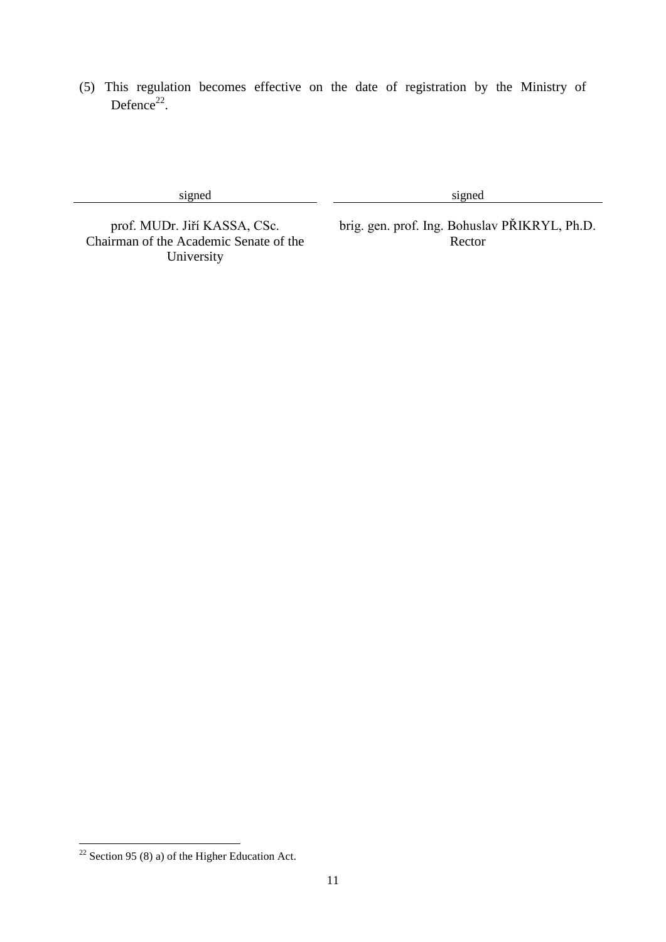(5) This regulation becomes effective on the date of registration by the Ministry of Defence $^{22}$ .

signed signed signed

Chairman of the Academic Senate of the University

prof. MUDr. Jiří KASSA, CSc. brig. gen. prof. Ing. Bohuslav PŘIKRYL, Ph.D. Rector

l

 $22$  Section 95 (8) a) of the Higher Education Act.